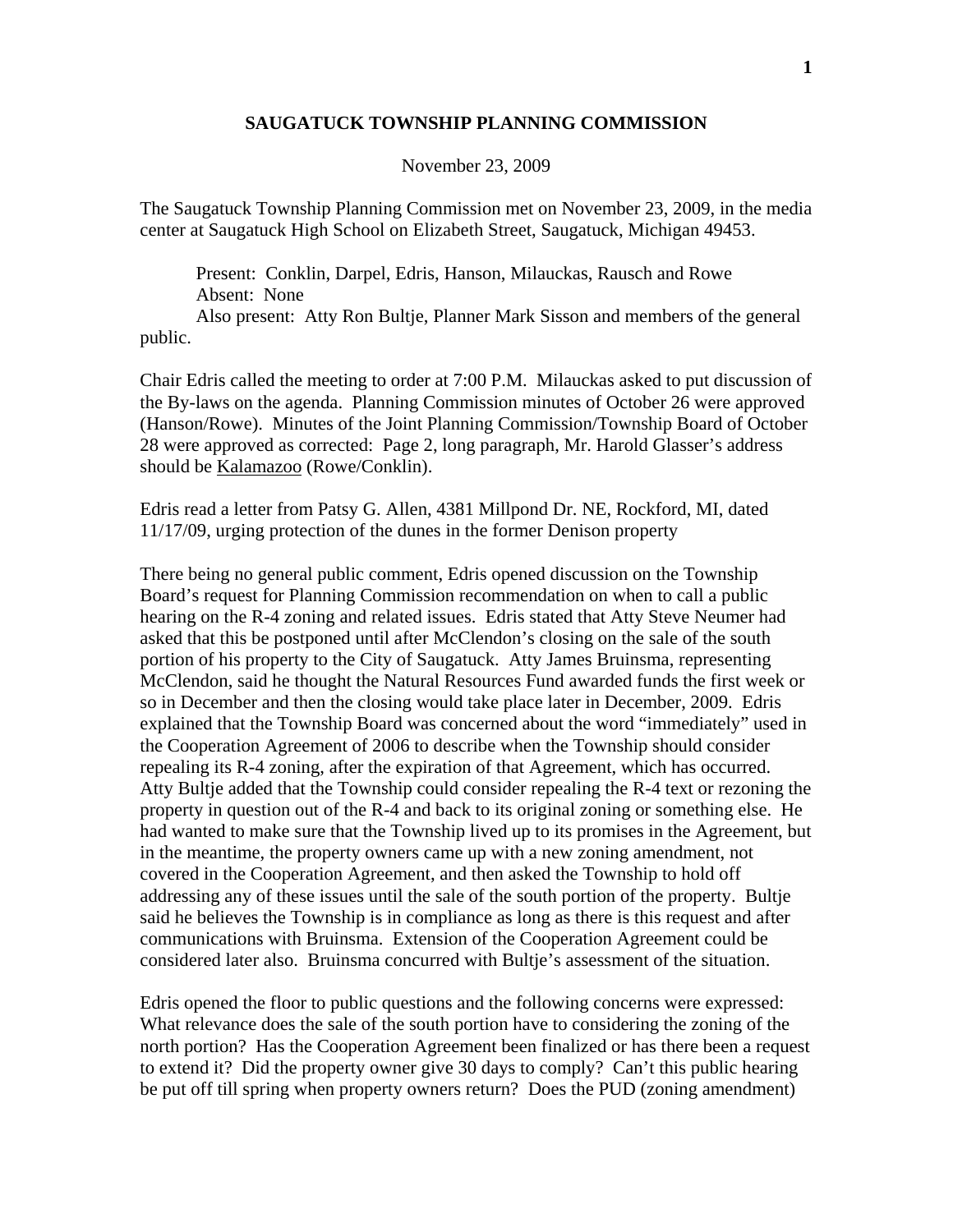## **SAUGATUCK TOWNSHIP PLANNING COMMISSION**

## November 23, 2009

The Saugatuck Township Planning Commission met on November 23, 2009, in the media center at Saugatuck High School on Elizabeth Street, Saugatuck, Michigan 49453.

 Present: Conklin, Darpel, Edris, Hanson, Milauckas, Rausch and Rowe Absent: None

 Also present: Atty Ron Bultje, Planner Mark Sisson and members of the general public.

Chair Edris called the meeting to order at 7:00 P.M. Milauckas asked to put discussion of the By-laws on the agenda. Planning Commission minutes of October 26 were approved (Hanson/Rowe). Minutes of the Joint Planning Commission/Township Board of October 28 were approved as corrected: Page 2, long paragraph, Mr. Harold Glasser's address should be Kalamazoo (Rowe/Conklin).

Edris read a letter from Patsy G. Allen, 4381 Millpond Dr. NE, Rockford, MI, dated 11/17/09, urging protection of the dunes in the former Denison property

There being no general public comment, Edris opened discussion on the Township Board's request for Planning Commission recommendation on when to call a public hearing on the R-4 zoning and related issues. Edris stated that Atty Steve Neumer had asked that this be postponed until after McClendon's closing on the sale of the south portion of his property to the City of Saugatuck. Atty James Bruinsma, representing McClendon, said he thought the Natural Resources Fund awarded funds the first week or so in December and then the closing would take place later in December, 2009. Edris explained that the Township Board was concerned about the word "immediately" used in the Cooperation Agreement of 2006 to describe when the Township should consider repealing its R-4 zoning, after the expiration of that Agreement, which has occurred. Atty Bultje added that the Township could consider repealing the R-4 text or rezoning the property in question out of the R-4 and back to its original zoning or something else. He had wanted to make sure that the Township lived up to its promises in the Agreement, but in the meantime, the property owners came up with a new zoning amendment, not covered in the Cooperation Agreement, and then asked the Township to hold off addressing any of these issues until the sale of the south portion of the property. Bultje said he believes the Township is in compliance as long as there is this request and after communications with Bruinsma. Extension of the Cooperation Agreement could be considered later also. Bruinsma concurred with Bultje's assessment of the situation.

Edris opened the floor to public questions and the following concerns were expressed: What relevance does the sale of the south portion have to considering the zoning of the north portion? Has the Cooperation Agreement been finalized or has there been a request to extend it? Did the property owner give 30 days to comply? Can't this public hearing be put off till spring when property owners return? Does the PUD (zoning amendment)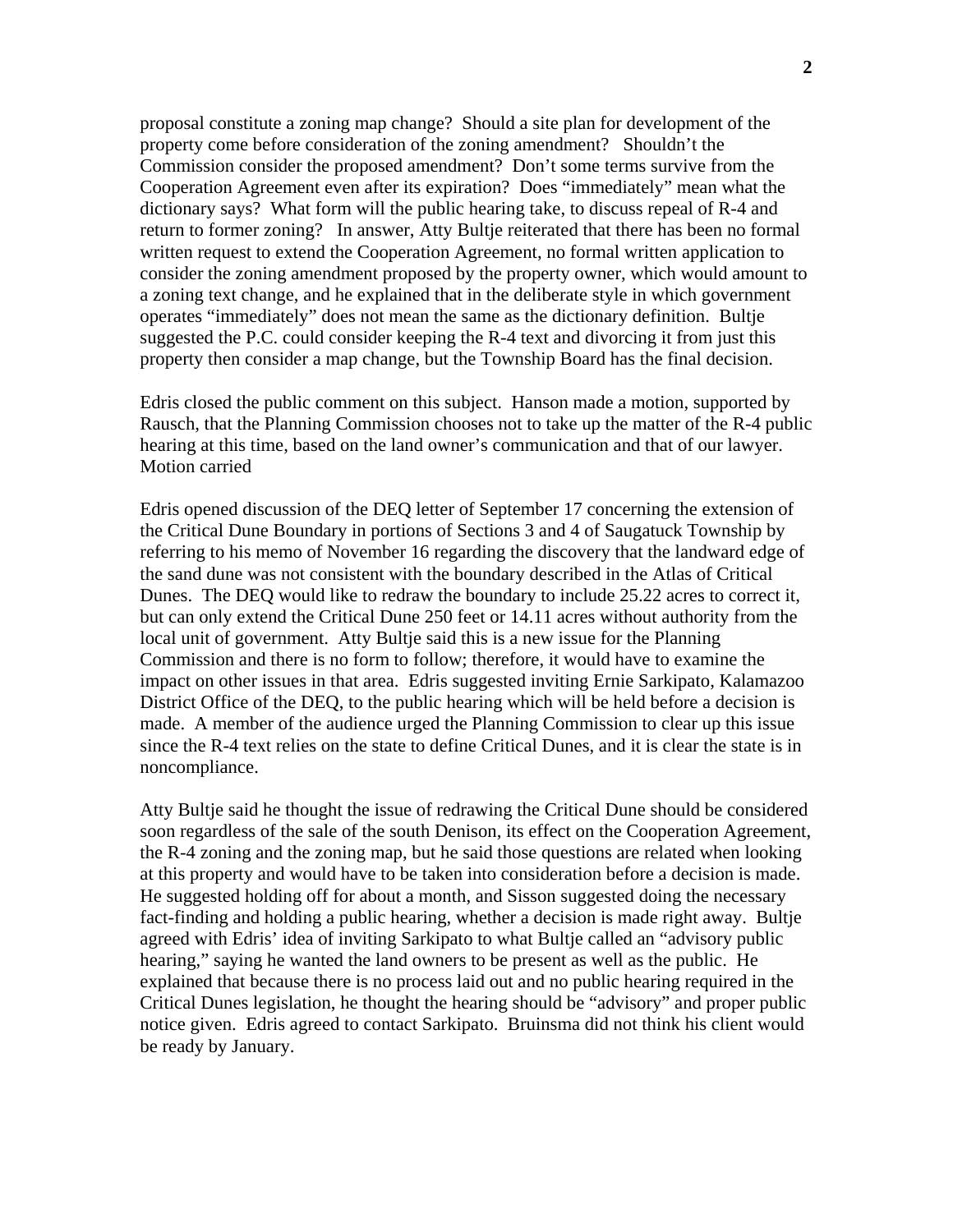proposal constitute a zoning map change? Should a site plan for development of the property come before consideration of the zoning amendment? Shouldn't the Commission consider the proposed amendment? Don't some terms survive from the Cooperation Agreement even after its expiration? Does "immediately" mean what the dictionary says? What form will the public hearing take, to discuss repeal of R-4 and return to former zoning? In answer, Atty Bultje reiterated that there has been no formal written request to extend the Cooperation Agreement, no formal written application to consider the zoning amendment proposed by the property owner, which would amount to a zoning text change, and he explained that in the deliberate style in which government operates "immediately" does not mean the same as the dictionary definition. Bultje suggested the P.C. could consider keeping the R-4 text and divorcing it from just this property then consider a map change, but the Township Board has the final decision.

Edris closed the public comment on this subject. Hanson made a motion, supported by Rausch, that the Planning Commission chooses not to take up the matter of the R-4 public hearing at this time, based on the land owner's communication and that of our lawyer. Motion carried

Edris opened discussion of the DEQ letter of September 17 concerning the extension of the Critical Dune Boundary in portions of Sections 3 and 4 of Saugatuck Township by referring to his memo of November 16 regarding the discovery that the landward edge of the sand dune was not consistent with the boundary described in the Atlas of Critical Dunes. The DEQ would like to redraw the boundary to include 25.22 acres to correct it, but can only extend the Critical Dune 250 feet or 14.11 acres without authority from the local unit of government. Atty Bultje said this is a new issue for the Planning Commission and there is no form to follow; therefore, it would have to examine the impact on other issues in that area. Edris suggested inviting Ernie Sarkipato, Kalamazoo District Office of the DEQ, to the public hearing which will be held before a decision is made. A member of the audience urged the Planning Commission to clear up this issue since the R-4 text relies on the state to define Critical Dunes, and it is clear the state is in noncompliance.

Atty Bultje said he thought the issue of redrawing the Critical Dune should be considered soon regardless of the sale of the south Denison, its effect on the Cooperation Agreement, the R-4 zoning and the zoning map, but he said those questions are related when looking at this property and would have to be taken into consideration before a decision is made. He suggested holding off for about a month, and Sisson suggested doing the necessary fact-finding and holding a public hearing, whether a decision is made right away. Bultje agreed with Edris' idea of inviting Sarkipato to what Bultje called an "advisory public hearing," saying he wanted the land owners to be present as well as the public. He explained that because there is no process laid out and no public hearing required in the Critical Dunes legislation, he thought the hearing should be "advisory" and proper public notice given. Edris agreed to contact Sarkipato. Bruinsma did not think his client would be ready by January.